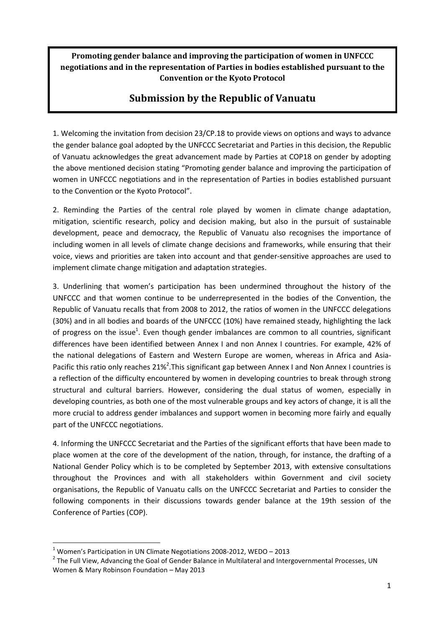**Promoting gender balance and improving the participation of women in UNFCCC negotiations and in the representation of Parties in bodies established pursuant to the Convention or the Kyoto Protocol**

# **Submission by the Republic of Vanuatu**

1. Welcoming the invitation from decision 23/CP.18 to provide views on options and ways to advance the gender balance goal adopted by the UNFCCC Secretariat and Parties in this decision, the Republic of Vanuatu acknowledges the great advancement made by Parties at COP18 on gender by adopting the above mentioned decision stating "Promoting gender balance and improving the participation of women in UNFCCC negotiations and in the representation of Parties in bodies established pursuant to the Convention or the Kyoto Protocol".

2. Reminding the Parties of the central role played by women in climate change adaptation, mitigation, scientific research, policy and decision making, but also in the pursuit of sustainable development, peace and democracy, the Republic of Vanuatu also recognises the importance of including women in all levels of climate change decisions and frameworks, while ensuring that their voice, views and priorities are taken into account and that gender-sensitive approaches are used to implement climate change mitigation and adaptation strategies.

3. Underlining that women's participation has been undermined throughout the history of the UNFCCC and that women continue to be underrepresented in the bodies of the Convention, the Republic of Vanuatu recalls that from 2008 to 2012, the ratios of women in the UNFCCC delegations (30%) and in all bodies and boards of the UNFCCC (10%) have remained steady, highlighting the lack of progress on the issue<sup>1</sup>. Even though gender imbalances are common to all countries, significant differences have been identified between Annex I and non Annex I countries. For example, 42% of the national delegations of Eastern and Western Europe are women, whereas in Africa and Asia-Pacific this ratio only reaches 21%<sup>2</sup>. This significant gap between Annex I and Non Annex I countries is a reflection of the difficulty encountered by women in developing countries to break through strong structural and cultural barriers. However, considering the dual status of women, especially in developing countries, as both one of the most vulnerable groups and key actors of change, it is all the more crucial to address gender imbalances and support women in becoming more fairly and equally part of the UNFCCC negotiations.

4. Informing the UNFCCC Secretariat and the Parties of the significant efforts that have been made to place women at the core of the development of the nation, through, for instance, the drafting of a National Gender Policy which is to be completed by September 2013, with extensive consultations throughout the Provinces and with all stakeholders within Government and civil society organisations, the Republic of Vanuatu calls on the UNFCCC Secretariat and Parties to consider the following components in their discussions towards gender balance at the 19th session of the Conference of Parties (COP).

**.** 

 $1$  Women's Participation in UN Climate Negotiations 2008-2012, WEDO – 2013

<sup>&</sup>lt;sup>2</sup> The Full View, Advancing the Goal of Gender Balance in Multilateral and Intergovernmental Processes, UN Women & Mary Robinson Foundation – May 2013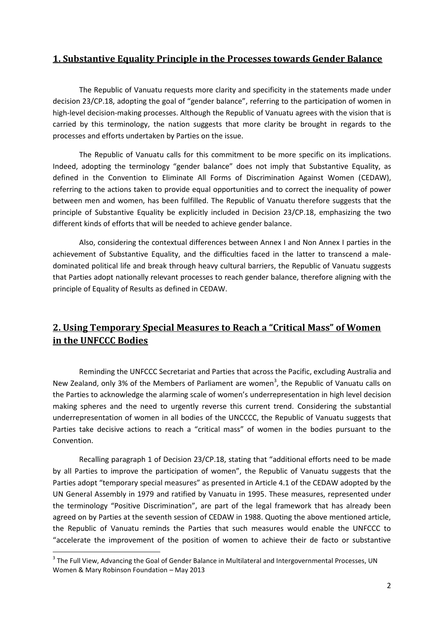### **1. Substantive Equality Principle in the Processes towards Gender Balance**

The Republic of Vanuatu requests more clarity and specificity in the statements made under decision 23/CP.18, adopting the goal of "gender balance", referring to the participation of women in high-level decision-making processes. Although the Republic of Vanuatu agrees with the vision that is carried by this terminology, the nation suggests that more clarity be brought in regards to the processes and efforts undertaken by Parties on the issue.

The Republic of Vanuatu calls for this commitment to be more specific on its implications. Indeed, adopting the terminology "gender balance" does not imply that Substantive Equality, as defined in the Convention to Eliminate All Forms of Discrimination Against Women (CEDAW), referring to the actions taken to provide equal opportunities and to correct the inequality of power between men and women, has been fulfilled. The Republic of Vanuatu therefore suggests that the principle of Substantive Equality be explicitly included in Decision 23/CP.18, emphasizing the two different kinds of efforts that will be needed to achieve gender balance.

Also, considering the contextual differences between Annex I and Non Annex I parties in the achievement of Substantive Equality, and the difficulties faced in the latter to transcend a maledominated political life and break through heavy cultural barriers, the Republic of Vanuatu suggests that Parties adopt nationally relevant processes to reach gender balance, therefore aligning with the principle of Equality of Results as defined in CEDAW.

## **2. Using Temporary Special Measures to Reach a "Critical Mass" of Women in the UNFCCC Bodies**

Reminding the UNFCCC Secretariat and Parties that across the Pacific, excluding Australia and New Zealand, only 3% of the Members of Parliament are women<sup>3</sup>, the Republic of Vanuatu calls on the Parties to acknowledge the alarming scale of women's underrepresentation in high level decision making spheres and the need to urgently reverse this current trend. Considering the substantial underrepresentation of women in all bodies of the UNCCCC, the Republic of Vanuatu suggests that Parties take decisive actions to reach a "critical mass" of women in the bodies pursuant to the Convention.

Recalling paragraph 1 of Decision 23/CP.18, stating that "additional efforts need to be made by all Parties to improve the participation of women", the Republic of Vanuatu suggests that the Parties adopt "temporary special measures" as presented in Article 4.1 of the CEDAW adopted by the UN General Assembly in 1979 and ratified by Vanuatu in 1995. These measures, represented under the terminology "Positive Discrimination", are part of the legal framework that has already been agreed on by Parties at the seventh session of CEDAW in 1988. Quoting the above mentioned article, the Republic of Vanuatu reminds the Parties that such measures would enable the UNFCCC to "accelerate the improvement of the position of women to achieve their de facto or substantive

1

<sup>&</sup>lt;sup>3</sup> The Full View, Advancing the Goal of Gender Balance in Multilateral and Intergovernmental Processes, UN Women & Mary Robinson Foundation – May 2013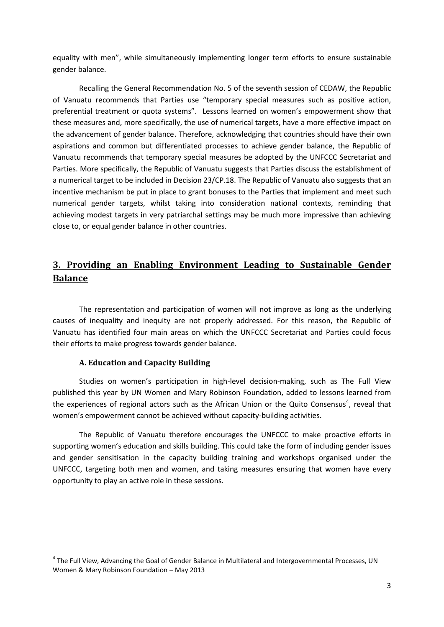equality with men", while simultaneously implementing longer term efforts to ensure sustainable gender balance.

Recalling the General Recommendation No. 5 of the seventh session of CEDAW, the Republic of Vanuatu recommends that Parties use "temporary special measures such as positive action, preferential treatment or quota systems". Lessons learned on women's empowerment show that these measures and, more specifically, the use of numerical targets, have a more effective impact on the advancement of gender balance. Therefore, acknowledging that countries should have their own aspirations and common but differentiated processes to achieve gender balance, the Republic of Vanuatu recommends that temporary special measures be adopted by the UNFCCC Secretariat and Parties. More specifically, the Republic of Vanuatu suggests that Parties discuss the establishment of a numerical target to be included in Decision 23/CP.18. The Republic of Vanuatu also suggests that an incentive mechanism be put in place to grant bonuses to the Parties that implement and meet such numerical gender targets, whilst taking into consideration national contexts, reminding that achieving modest targets in very patriarchal settings may be much more impressive than achieving close to, or equal gender balance in other countries.

### **3. Providing an Enabling Environment Leading to Sustainable Gender Balance**

The representation and participation of women will not improve as long as the underlying causes of inequality and inequity are not properly addressed. For this reason, the Republic of Vanuatu has identified four main areas on which the UNFCCC Secretariat and Parties could focus their efforts to make progress towards gender balance.

#### **A. Education and Capacity Building**

1

Studies on women's participation in high-level decision-making, such as The Full View published this year by UN Women and Mary Robinson Foundation, added to lessons learned from the experiences of regional actors such as the African Union or the Quito Consensus<sup>4</sup>, reveal that women's empowerment cannot be achieved without capacity-building activities.

The Republic of Vanuatu therefore encourages the UNFCCC to make proactive efforts in supporting women's education and skills building. This could take the form of including gender issues and gender sensitisation in the capacity building training and workshops organised under the UNFCCC, targeting both men and women, and taking measures ensuring that women have every opportunity to play an active role in these sessions.

<sup>&</sup>lt;sup>4</sup> The Full View, Advancing the Goal of Gender Balance in Multilateral and Intergovernmental Processes, UN Women & Mary Robinson Foundation – May 2013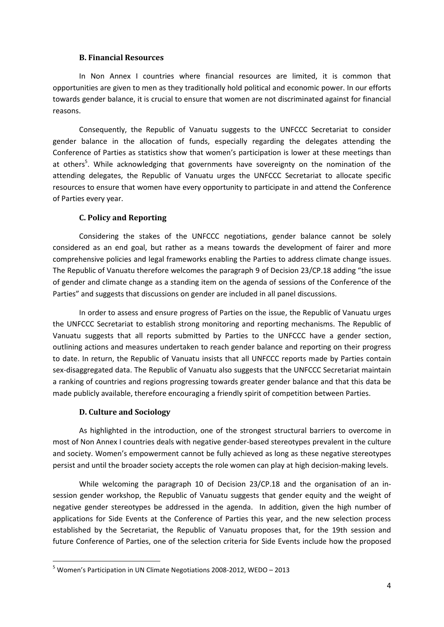#### **B. Financial Resources**

In Non Annex I countries where financial resources are limited, it is common that opportunities are given to men as they traditionally hold political and economic power. In our efforts towards gender balance, it is crucial to ensure that women are not discriminated against for financial reasons.

Consequently, the Republic of Vanuatu suggests to the UNFCCC Secretariat to consider gender balance in the allocation of funds, especially regarding the delegates attending the Conference of Parties as statistics show that women's participation is lower at these meetings than at others<sup>5</sup>. While acknowledging that governments have sovereignty on the nomination of the attending delegates, the Republic of Vanuatu urges the UNFCCC Secretariat to allocate specific resources to ensure that women have every opportunity to participate in and attend the Conference of Parties every year.

#### **C. Policy and Reporting**

Considering the stakes of the UNFCCC negotiations, gender balance cannot be solely considered as an end goal, but rather as a means towards the development of fairer and more comprehensive policies and legal frameworks enabling the Parties to address climate change issues. The Republic of Vanuatu therefore welcomes the paragraph 9 of Decision 23/CP.18 adding "the issue of gender and climate change as a standing item on the agenda of sessions of the Conference of the Parties" and suggests that discussions on gender are included in all panel discussions.

In order to assess and ensure progress of Parties on the issue, the Republic of Vanuatu urges the UNFCCC Secretariat to establish strong monitoring and reporting mechanisms. The Republic of Vanuatu suggests that all reports submitted by Parties to the UNFCCC have a gender section, outlining actions and measures undertaken to reach gender balance and reporting on their progress to date. In return, the Republic of Vanuatu insists that all UNFCCC reports made by Parties contain sex-disaggregated data. The Republic of Vanuatu also suggests that the UNFCCC Secretariat maintain a ranking of countries and regions progressing towards greater gender balance and that this data be made publicly available, therefore encouraging a friendly spirit of competition between Parties.

#### **D. Culture and Sociology**

**.** 

As highlighted in the introduction, one of the strongest structural barriers to overcome in most of Non Annex I countries deals with negative gender-based stereotypes prevalent in the culture and society. Women's empowerment cannot be fully achieved as long as these negative stereotypes persist and until the broader society accepts the role women can play at high decision-making levels.

While welcoming the paragraph 10 of Decision 23/CP.18 and the organisation of an insession gender workshop, the Republic of Vanuatu suggests that gender equity and the weight of negative gender stereotypes be addressed in the agenda. In addition, given the high number of applications for Side Events at the Conference of Parties this year, and the new selection process established by the Secretariat, the Republic of Vanuatu proposes that, for the 19th session and future Conference of Parties, one of the selection criteria for Side Events include how the proposed

<sup>5</sup> Women's Participation in UN Climate Negotiations 2008-2012, WEDO – 2013